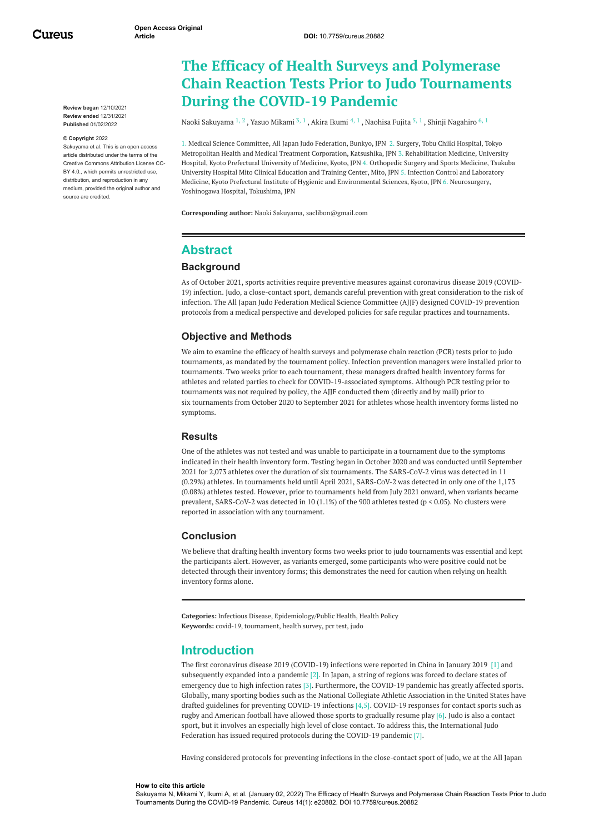Cureus

**Review began** 12/10/2021 **Review ended** 12/31/2021 **Published** 01/02/2022

#### **© Copyright** 2022

Sakuyama et al. This is an open access article distributed under the terms of the Creative Commons Attribution License CC-BY 4.0., which permits unrestricted use, distribution, and reproduction in any medium, provided the original author and source are credited.

# **The Efficacy of Health Surveys and Polymerase Chain Reaction Tests Prior to Judo Tournaments During the COVID-19 Pandemic**

Naoki [Sakuyama](https://www.cureus.com/users/223069-naoki-sakuyama)  $^{1,\,2}$  , Yasuo [Mikami](https://www.cureus.com/users/307522-mikami-yasuo)  $^{3,\,1}$  , Akira [Ikumi](https://www.cureus.com/users/204791-akira-ikumi)  $^{4,\,1}$  , [Naohisa](https://www.cureus.com/users/307529-naohisa-fujita) Fujita  $^{5,\,1}$  , Shinji [Nagahiro](https://www.cureus.com/users/307545-shinji-nagahiro)  $^{6,\,1}$ 

1. Medical Science Committee, All Japan Judo Federation, Bunkyo, JPN 2. Surgery, Tobu Chiiki Hospital, Tokyo Metropolitan Health and Medical Treatment Corporation, Katsushika, JPN 3. Rehabilitation Medicine, University Hospital, Kyoto Prefectural University of Medicine, Kyoto, JPN 4. Orthopedic Surgery and Sports Medicine, Tsukuba University Hospital Mito Clinical Education and Training Center, Mito, JPN 5. Infection Control and Laboratory Medicine, Kyoto Prefectural Institute of Hygienic and Environmental Sciences, Kyoto, JPN 6. Neurosurgery, Yoshinogawa Hospital, Tokushima, JPN

**Corresponding author:** Naoki Sakuyama, saclibon@gmail.com

### **Abstract**

### **Background**

As of October 2021, sports activities require preventive measures against coronavirus disease 2019 (COVID-19) infection. Judo, a close-contact sport, demands careful prevention with great consideration to the risk of infection. The All Japan Judo Federation Medical Science Committee (AJJF) designed COVID-19 prevention protocols from a medical perspective and developed policies for safe regular practices and tournaments.

### **Objective and Methods**

We aim to examine the efficacy of health surveys and polymerase chain reaction (PCR) tests prior to judo tournaments, as mandated by the tournament policy. Infection prevention managers were installed prior to tournaments. Two weeks prior to each tournament, these managers drafted health inventory forms for athletes and related parties to check for COVID-19-associated symptoms. Although PCR testing prior to tournaments was not required by policy, the AJJF conducted them (directly and by mail) prior to six tournaments from October 2020 to September 2021 for athletes whose health inventory forms listed no symptoms.

#### **Results**

One of the athletes was not tested and was unable to participate in a tournament due to the symptoms indicated in their health inventory form. Testing began in October 2020 and was conducted until September 2021 for 2,073 athletes over the duration of six tournaments. The SARS-CoV-2 virus was detected in 11 (0.29%) athletes. In tournaments held until April 2021, SARS-CoV-2 was detected in only one of the 1,173 (0.08%) athletes tested. However, prior to tournaments held from July 2021 onward, when variants became prevalent, SARS-CoV-2 was detected in 10 (1.1%) of the 900 athletes tested (p < 0.05). No clusters were reported in association with any tournament.

### **Conclusion**

We believe that drafting health inventory forms two weeks prior to judo tournaments was essential and kept the participants alert. However, as variants emerged, some participants who were positive could not be detected through their inventory forms; this demonstrates the need for caution when relying on health inventory forms alone.

**Categories:** Infectious Disease, Epidemiology/Public Health, Health Policy **Keywords:** covid-19, tournament, health survey, pcr test, judo

## **Introduction**

The first coronavirus disease 2019 (COVID-19) infections were reported in China in January 2019 [1] and subsequently expanded into a pandemic [2]. In Japan, a string of regions was forced to declare states of emergency due to high infection rates [3]. Furthermore, the COVID-19 pandemic has greatly affected sports. Globally, many sporting bodies such as the National Collegiate Athletic Association in the United States have drafted guidelines for preventing COVID-19 infections [4,5]. COVID-19 responses for contact sports such as rugby and American football have allowed those sports to gradually resume play [6]. Judo is also a contact sport, but it involves an especially high level of close contact. To address this, the International Judo Federation has issued required protocols during the COVID-19 pandemic [7].

Having considered protocols for preventing infections in the close-contact sport of judo, we at the All Japan

#### **How to cite this article**

Sakuyama N, Mikami Y, Ikumi A, et al. (January 02, 2022) The Efficacy of Health Surveys and Polymerase Chain Reaction Tests Prior to Judo Tournaments During the COVID-19 Pandemic. Cureus 14(1): e20882. DOI 10.7759/cureus.20882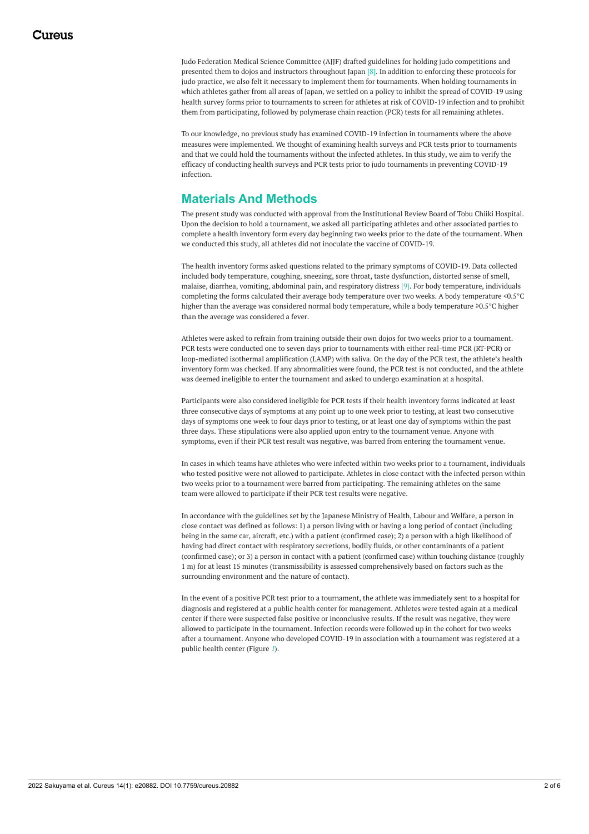Judo Federation Medical Science Committee (AJJF) drafted guidelines for holding judo competitions and presented them to dojos and instructors throughout Japan [8]. In addition to enforcing these protocols for judo practice, we also felt it necessary to implement them for tournaments. When holding tournaments in which athletes gather from all areas of Japan, we settled on a policy to inhibit the spread of COVID-19 using health survey forms prior to tournaments to screen for athletes at risk of COVID-19 infection and to prohibit them from participating, followed by polymerase chain reaction (PCR) tests for all remaining athletes.

To our knowledge, no previous study has examined COVID-19 infection in tournaments where the above measures were implemented. We thought of examining health surveys and PCR tests prior to tournaments and that we could hold the tournaments without the infected athletes. In this study, we aim to verify the efficacy of conducting health surveys and PCR tests prior to judo tournaments in preventing COVID-19 infection.

## **Materials And Methods**

The present study was conducted with approval from the Institutional Review Board of Tobu Chiiki Hospital. Upon the decision to hold a tournament, we asked all participating athletes and other associated parties to complete a health inventory form every day beginning two weeks prior to the date of the tournament. When we conducted this study, all athletes did not inoculate the vaccine of COVID-19.

The health inventory forms asked questions related to the primary symptoms of COVID-19. Data collected included body temperature, coughing, sneezing, sore throat, taste dysfunction, distorted sense of smell, malaise, diarrhea, vomiting, abdominal pain, and respiratory distress [9]. For body temperature, individuals completing the forms calculated their average body temperature over two weeks. A body temperature <0.5°C higher than the average was considered normal body temperature, while a body temperature ≥0.5°C higher than the average was considered a fever.

Athletes were asked to refrain from training outside their own dojos for two weeks prior to a tournament. PCR tests were conducted one to seven days prior to tournaments with either real-time PCR (RT-PCR) or loop-mediated isothermal amplification (LAMP) with saliva. On the day of the PCR test, the athlete's health inventory form was checked. If any abnormalities were found, the PCR test is not conducted, and the athlete was deemed ineligible to enter the tournament and asked to undergo examination at a hospital.

Participants were also considered ineligible for PCR tests if their health inventory forms indicated at least three consecutive days of symptoms at any point up to one week prior to testing, at least two consecutive days of symptoms one week to four days prior to testing, or at least one day of symptoms within the past three days. These stipulations were also applied upon entry to the tournament venue. Anyone with symptoms, even if their PCR test result was negative, was barred from entering the tournament venue.

In cases in which teams have athletes who were infected within two weeks prior to a tournament, individuals who tested positive were not allowed to participate. Athletes in close contact with the infected person within two weeks prior to a tournament were barred from participating. The remaining athletes on the same team were allowed to participate if their PCR test results were negative.

In accordance with the guidelines set by the Japanese Ministry of Health, Labour and Welfare, a person in close contact was defined as follows: 1) a person living with or having a long period of contact (including being in the same car, aircraft, etc.) with a patient (confirmed case); 2) a person with a high likelihood of having had direct contact with respiratory secretions, bodily fluids, or other contaminants of a patient (confirmed case); or 3) a person in contact with a patient (confirmed case) within touching distance (roughly 1 m) for at least 15 minutes (transmissibility is assessed comprehensively based on factors such as the surrounding environment and the nature of contact).

In the event of a positive PCR test prior to a tournament, the athlete was immediately sent to a hospital for diagnosis and registered at a public health center for management. Athletes were tested again at a medical center if there were suspected false positive or inconclusive results. If the result was negative, they were allowed to participate in the tournament. Infection records were followed up in the cohort for two weeks after a tournament. Anyone who developed COVID-19 in association with a tournament was registered at a public health center (Figure *[1](#page-2-0)*).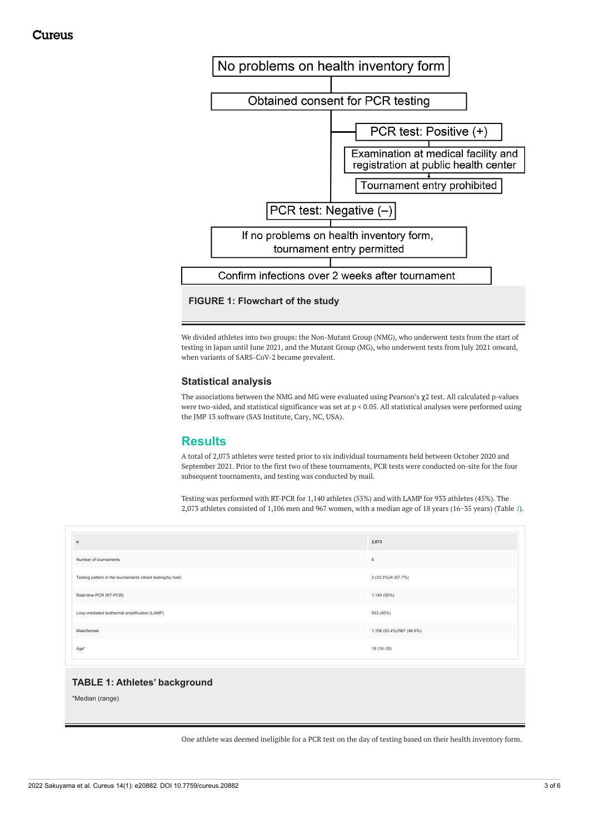<span id="page-2-0"></span>

We divided athletes into two groups: the Non-Mutant Group (NMG), who underwent tests from the start of testing in Japan until June 2021, and the Mutant Group (MG), who underwent tests from July 2021 onward, when variants of SARS-CoV-2 became prevalent.

### **Statistical analysis**

The associations between the NMG and MG were evaluated using Pearson's  $\chi$ 2 test. All calculated p-values were two-sided, and statistical significance was set at p < 0.05. All statistical analyses were performed using the JMP 13 software (SAS Institute, Cary, NC, USA).

## **Results**

A total of 2,073 athletes were tested prior to six individual tournaments held between October 2020 and September 2021. Prior to the first two of these tournaments, PCR tests were conducted on-site for the four subsequent tournaments, and testing was conducted by mail.

Testing was performed with RT-PCR for 1,140 athletes (55%) and with LAMP for 933 athletes (45%). The 2,073 athletes consisted of 1,106 men and 967 women, with a median age of 18 years (16−35 years) (Table *[1](#page-2-1)*).

<span id="page-2-1"></span>

| $\mathsf n$                                                 | 2,073                     |
|-------------------------------------------------------------|---------------------------|
| Number of tournaments                                       | 6                         |
| Testing pattern in the tournaments (direct testing/by mail) | 2 (33.3%)/4 (67.7%)       |
| Real-time PCR (RT-PCR)                                      | 1,140 (55%)               |
| Loop-mediated isothermal amplification (LAMP)               | 933 (45%)                 |
| Male/female                                                 | 1,106 (53.4%)/967 (46.6%) |
| Age*                                                        | 18 (16-35)                |

### **TABLE 1: Athletes' background**

\*Median (range)

One athlete was deemed ineligible for a PCR test on the day of testing based on their health inventory form.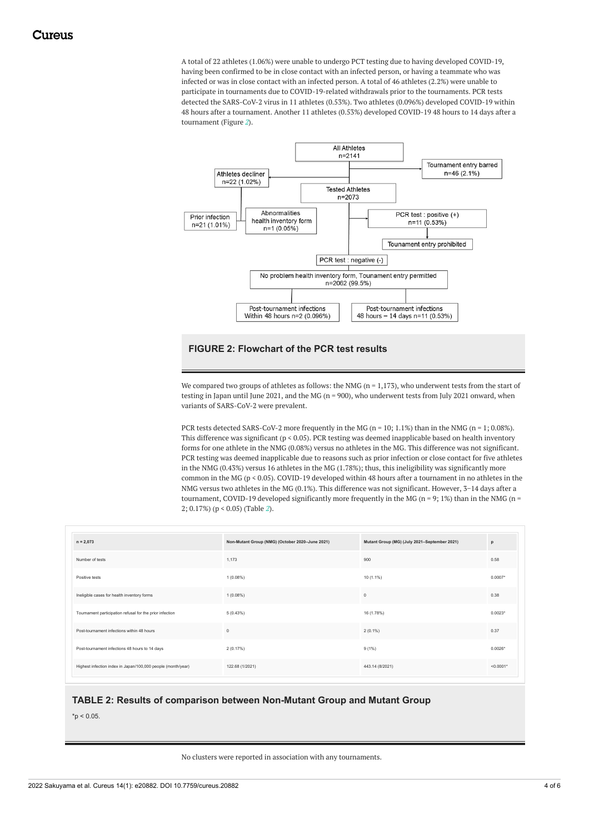A total of 22 athletes (1.06%) were unable to undergo PCT testing due to having developed COVID-19, having been confirmed to be in close contact with an infected person, or having a teammate who was infected or was in close contact with an infected person. A total of 46 athletes (2.2%) were unable to participate in tournaments due to COVID-19-related withdrawals prior to the tournaments. PCR tests detected the SARS-CoV-2 virus in 11 athletes (0.53%). Two athletes (0.096%) developed COVID-19 within 48 hours after a tournament. Another 11 athletes (0.53%) developed COVID-19 48 hours to 14 days after a tournament (Figure *[2](#page-3-0)*).

<span id="page-3-0"></span>

### **FIGURE 2: Flowchart of the PCR test results**

We compared two groups of athletes as follows: the NMG ( $n = 1,173$ ), who underwent tests from the start of testing in Japan until June 2021, and the MG (n = 900), who underwent tests from July 2021 onward, when variants of SARS-CoV-2 were prevalent.

PCR tests detected SARS-CoV-2 more frequently in the MG ( $n = 10$ ; 1.1%) than in the NMG ( $n = 1$ ; 0.08%). This difference was significant (p < 0.05). PCR testing was deemed inapplicable based on health inventory forms for one athlete in the NMG (0.08%) versus no athletes in the MG. This difference was not significant. PCR testing was deemed inapplicable due to reasons such as prior infection or close contact for five athletes in the NMG (0.43%) versus 16 athletes in the MG (1.78%); thus, this ineligibility was significantly more common in the MG (p < 0.05). COVID-19 developed within 48 hours after a tournament in no athletes in the NMG versus two athletes in the MG (0.1%). This difference was not significant. However, 3−14 days after a tournament, COVID-19 developed significantly more frequently in the MG ( $n = 9$ ; 1%) than in the NMG ( $n = 1$ 2; 0.17%) (p < 0.05) (Table *[2](#page-3-1)*).

<span id="page-3-1"></span>

| $n = 2,073$                                                  | Non-Mutant Group (NMG) (October 2020-June 2021) | Mutant Group (MG) (July 2021-September 2021) | p            |
|--------------------------------------------------------------|-------------------------------------------------|----------------------------------------------|--------------|
| Number of tests                                              | 1,173                                           | 900                                          | 0.58         |
| Positive tests                                               | 1(0.08%)                                        | 10 (1.1%)                                    | $0.0007*$    |
| Ineligible cases for health inventory forms                  | $1(0.08\%)$                                     | $\circ$                                      | 0.38         |
| Tournament participation refusal for the prior infection     | 5(0.43%)                                        | 16 (1.78%)                                   | $0.0023*$    |
| Post-tournament infections within 48 hours                   | $\circ$                                         | $2(0.1\%)$                                   | 0.37         |
| Post-tournament infections 48 hours to 14 days               | 2(0.17%)                                        | $9(1\%)$                                     | $0.0026*$    |
| Highest infection index in Japan/100,000 people (month/year) | 122.68 (1/2021)                                 | 443.14 (8/2021)                              | $< 0.0001$ * |

### **TABLE 2: Results of comparison between Non-Mutant Group and Mutant Group**

 $*$ p < 0.05.

#### No clusters were reported in association with any tournaments.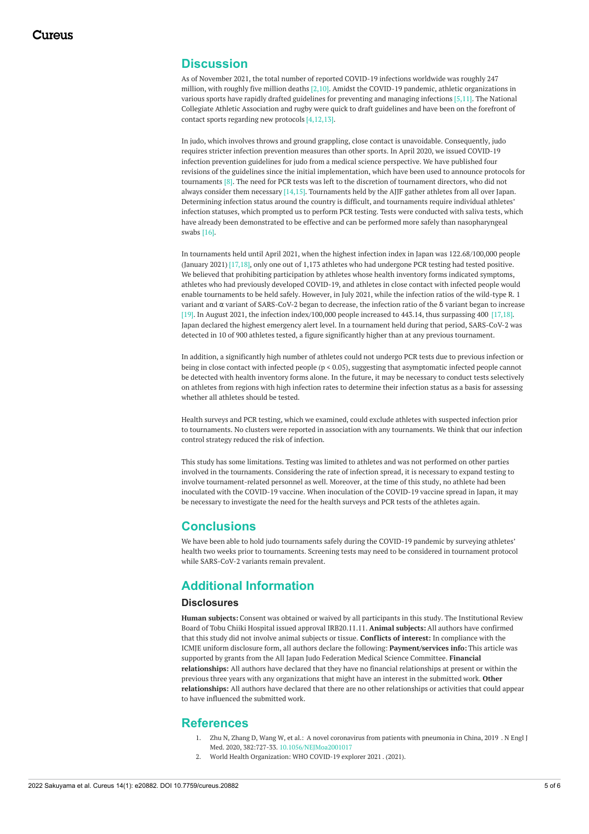### **Discussion**

As of November 2021, the total number of reported COVID-19 infections worldwide was roughly 247 million, with roughly five million deaths [2,10]. Amidst the COVID-19 pandemic, athletic organizations in various sports have rapidly drafted guidelines for preventing and managing infections [5,11]. The National Collegiate Athletic Association and rugby were quick to draft guidelines and have been on the forefront of contact sports regarding new protocols [4,12,13].

In judo, which involves throws and ground grappling, close contact is unavoidable. Consequently, judo requires stricter infection prevention measures than other sports. In April 2020, we issued COVID-19 infection prevention guidelines for judo from a medical science perspective. We have published four revisions of the guidelines since the initial implementation, which have been used to announce protocols for tournaments [8]. The need for PCR tests was left to the discretion of tournament directors, who did not always consider them necessary [14,15]. Tournaments held by the AJJF gather athletes from all over Japan. Determining infection status around the country is difficult, and tournaments require individual athletes' infection statuses, which prompted us to perform PCR testing. Tests were conducted with saliva tests, which have already been demonstrated to be effective and can be performed more safely than nasopharyngeal swabs [16].

In tournaments held until April 2021, when the highest infection index in Japan was 122.68/100,000 people (January 2021) [17,18], only one out of 1,173 athletes who had undergone PCR testing had tested positive. We believed that prohibiting participation by athletes whose health inventory forms indicated symptoms, athletes who had previously developed COVID-19, and athletes in close contact with infected people would enable tournaments to be held safely. However, in July 2021, while the infection ratios of the wild-type R. 1 variant and α variant of SARS-CoV-2 began to decrease, the infection ratio of the δ variant began to increase [19]. In August 2021, the infection index/100,000 people increased to 443.14, thus surpassing 400 [17,18]. Japan declared the highest emergency alert level. In a tournament held during that period, SARS-CoV-2 was detected in 10 of 900 athletes tested, a figure significantly higher than at any previous tournament.

In addition, a significantly high number of athletes could not undergo PCR tests due to previous infection or being in close contact with infected people (p < 0.05), suggesting that asymptomatic infected people cannot be detected with health inventory forms alone. In the future, it may be necessary to conduct tests selectively on athletes from regions with high infection rates to determine their infection status as a basis for assessing whether all athletes should be tested.

Health surveys and PCR testing, which we examined, could exclude athletes with suspected infection prior to tournaments. No clusters were reported in association with any tournaments. We think that our infection control strategy reduced the risk of infection.

This study has some limitations. Testing was limited to athletes and was not performed on other parties involved in the tournaments. Considering the rate of infection spread, it is necessary to expand testing to involve tournament-related personnel as well. Moreover, at the time of this study, no athlete had been inoculated with the COVID-19 vaccine. When inoculation of the COVID-19 vaccine spread in Japan, it may be necessary to investigate the need for the health surveys and PCR tests of the athletes again.

### **Conclusions**

We have been able to hold judo tournaments safely during the COVID-19 pandemic by surveying athletes' health two weeks prior to tournaments. Screening tests may need to be considered in tournament protocol while SARS-CoV-2 variants remain prevalent.

## **Additional Information**

### **Disclosures**

**Human subjects:** Consent was obtained or waived by all participants in this study. The Institutional Review Board of Tobu Chiiki Hospital issued approval IRB20.11.11. **Animal subjects:** All authors have confirmed that this study did not involve animal subjects or tissue. **Conflicts of interest:** In compliance with the ICMJE uniform disclosure form, all authors declare the following: **Payment/services info:** This article was supported by grants from the All Japan Judo Federation Medical Science Committee. **Financial relationships:** All authors have declared that they have no financial relationships at present or within the previous three years with any organizations that might have an interest in the submitted work. **Other relationships:** All authors have declared that there are no other relationships or activities that could appear to have influenced the submitted work.

### **References**

- 1. Zhu N, Zhang D, Wang W, et al.: A novel [coronavirus](https://dx.doi.org/10.1056/NEJMoa2001017) from patients with pneumonia in China, 2019 . N Engl J Med. 2020, 382:727-33. [10.1056/NEJMoa2001017](https://dx.doi.org/10.1056/NEJMoa2001017)
- 2. World Health [Organization:](https://worldhealthorg.shinyapps.io/covid/) WHO COVID-19 explorer 2021 . (2021).